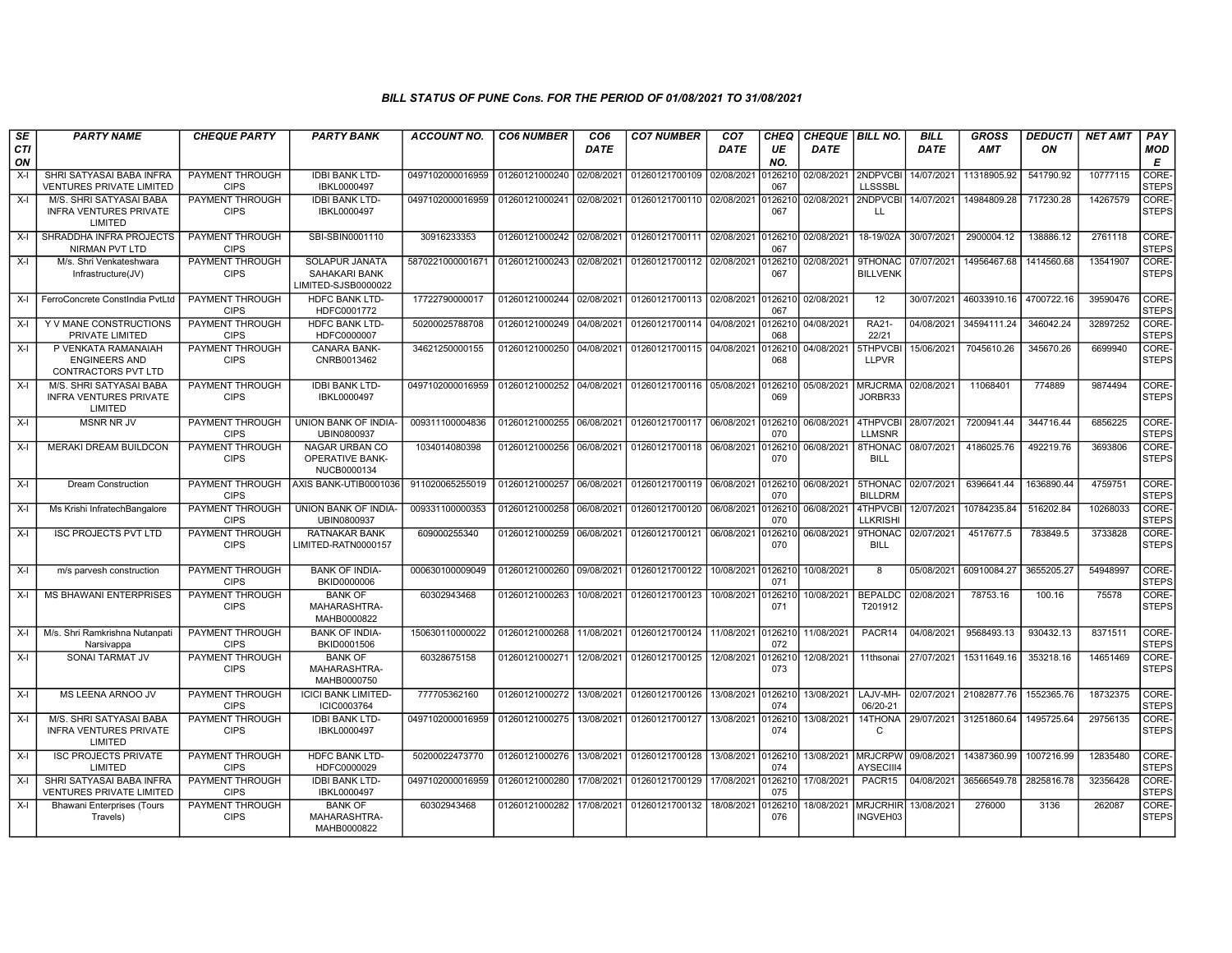| SE               | <b>PARTY NAME</b>                                                   | <b>CHEQUE PARTY</b>                   | <b>PARTY BANK</b>                                       | <b>ACCOUNT NO.</b> | <b>CO6 NUMBER</b>         | CO <sub>6</sub> | <b>CO7 NUMBER</b>                                   | CO <sub>7</sub> | CHEQ           | CHEQUE   BILL NO.  |                                    | <b>BILL</b> | <b>GROSS</b>                      | <b>DEDUCTI</b> | <b>NET AMT</b> | <b>PAY</b>            |
|------------------|---------------------------------------------------------------------|---------------------------------------|---------------------------------------------------------|--------------------|---------------------------|-----------------|-----------------------------------------------------|-----------------|----------------|--------------------|------------------------------------|-------------|-----------------------------------|----------------|----------------|-----------------------|
| <b>CTI</b><br>ON |                                                                     |                                       |                                                         |                    |                           | <b>DATE</b>     |                                                     | <b>DATE</b>     | UE<br>NO.      | <b>DATE</b>        |                                    | <b>DATE</b> | <b>AMT</b>                        | ON             |                | MOD<br>Е              |
| $X-I$            | SHRI SATYASAI BABA INFRA<br><b>VENTURES PRIVATE LIMITED</b>         | PAYMENT THROUGH<br><b>CIPS</b>        | <b>IDBI BANK LTD-</b><br>IBKL0000497                    | 0497102000016959   | 01260121000240            | 02/08/2021      | 01260121700109                                      | 02/08/2021      | 126210<br>067  | 02/08/2021         | 2NDPVCBI<br><b>LLSSSBL</b>         | 14/07/2021  | 11318905.92                       | 541790.92      | 10777115       | CORE-<br><b>STEPS</b> |
| $X-I$            | M/S. SHRI SATYASAI BABA<br><b>INFRA VENTURES PRIVATE</b><br>LIMITED | <b>PAYMENT THROUGH</b><br><b>CIPS</b> | <b>IDBI BANK LTD-</b><br>IBKL0000497                    | 0497102000016959   | 01260121000241 02/08/2021 |                 | 01260121700110 02/08/2021                           |                 | 126210<br>067  | 02/08/2021         | 2NDPVCBI<br>$\mathbf{H}$           | 14/07/2021  | 14984809.28                       | 717230.28      | 14267579       | CORE-<br><b>STEPS</b> |
| $X-I$            | SHRADDHA INFRA PROJECTS<br>NIRMAN PVT LTD                           | <b>PAYMENT THROUGH</b><br><b>CIPS</b> | SBI-SBIN0001110                                         | 30916233353        | 01260121000242 02/08/2021 |                 | 01260121700111                                      | 02/08/2021      | 0126210<br>067 | 02/08/2021         | 18-19/02A                          | 30/07/2021  | 2900004.12                        | 138886.12      | 2761118        | CORE-<br><b>STEPS</b> |
| $X-I$            | M/s. Shri Venkateshwara<br>Infrastructure(JV)                       | PAYMENT THROUGH<br><b>CIPS</b>        | SOLAPUR JANATA<br>SAHAKARI BANK<br>LIMITED-SJSB0000022  | 5870221000001671   | 01260121000243            | 02/08/2021      | 01260121700112 02/08/2021                           |                 | 0126210<br>067 | 02/08/2021         | <b>9THONAC</b><br><b>BILLVENK</b>  | 07/07/2021  | 14956467.68                       | 1414560.68     | 13541907       | CORE-<br><b>STEPS</b> |
| $X-I$            | FerroConcrete ConstIndia PvtLtd                                     | PAYMENT THROUGH<br><b>CIPS</b>        | <b>HDFC BANK LTD-</b><br>HDFC0001772                    | 17722790000017     |                           |                 | 01260121000244 02/08/2021 01260121700113 02/08/2021 |                 | 0126210<br>067 | 02/08/2021         | 12                                 |             | 30/07/2021 46033910.16 4700722.16 |                | 39590476       | CORE-<br><b>STEPS</b> |
| $X-I$            | Y V MANE CONSTRUCTIONS<br>PRIVATE LIMITED                           | PAYMENT THROUGH<br><b>CIPS</b>        | <b>HDFC BANK LTD-</b><br>HDFC0000007                    | 50200025788708     | 01260121000249            | 04/08/2021      | 01260121700114 04/08/2021                           |                 | 126210<br>068  | 04/08/2021         | <b>RA21-</b><br>22/21              | 04/08/2021  | 34594111.24                       | 346042.24      | 32897252       | CORE-<br><b>STEPS</b> |
| $X-I$            | P VENKATA RAMANAIAH<br><b>ENGINEERS AND</b><br>CONTRACTORS PVT LTD  | PAYMENT THROUGH<br><b>CIPS</b>        | <b>CANARA BANK-</b><br>CNRB0013462                      | 34621250000155     | 01260121000250            | 04/08/2021      | 01260121700115                                      | 04/08/2021      | 0126210<br>068 | 04/08/2021         | 5THPVCBI<br><b>LLPVR</b>           | 15/06/2021  | 7045610.26                        | 345670.26      | 6699940        | CORE-<br><b>STEPS</b> |
| $X-I$            | M/S. SHRI SATYASAI BABA<br><b>INFRA VENTURES PRIVATE</b><br>LIMITED | PAYMENT THROUGH<br><b>CIPS</b>        | <b>IDBI BANK LTD-</b><br>IBKL0000497                    | 0497102000016959   | 01260121000252            | 04/08/2021      | 01260121700116                                      | 05/08/2021      | 0126210<br>069 | 05/08/2021         | <b>MRJCRMA</b><br>JORBR33          | 02/08/2021  | 11068401                          | 774889         | 9874494        | CORE-<br><b>STEPS</b> |
| $X-I$            | <b>MSNR NR JV</b>                                                   | PAYMENT THROUGH<br><b>CIPS</b>        | UNION BANK OF INDIA-<br>UBIN0800937                     | 009311100004836    | 01260121000255            | 06/08/2021      | 01260121700117 06/08/2021                           |                 | 0126210<br>070 | 06/08/2021         | 4THPVCBI<br><b>LLMSNR</b>          | 28/07/2021  | 7200941.44                        | 344716.44      | 6856225        | CORE-<br><b>STEPS</b> |
| $X-I$            | <b>MERAKI DREAM BUILDCON</b>                                        | PAYMENT THROUGH<br><b>CIPS</b>        | NAGAR URBAN CO<br><b>OPERATIVE BANK-</b><br>NUCB0000134 | 1034014080398      | 01260121000256            | 06/08/2021      | 01260121700118 06/08/2021                           |                 | 126210<br>070  | 06/08/2021         | 8THONAC<br><b>BILL</b>             | 08/07/2021  | 4186025.76                        | 492219.76      | 3693806        | CORE-<br><b>STEPS</b> |
| $X-I$            | <b>Dream Construction</b>                                           | PAYMENT THROUGH<br><b>CIPS</b>        | AXIS BANK-UTIB0001036                                   | 911020065255019    | 01260121000257            | 06/08/2021      | 01260121700119 06/08/2021                           |                 | 0126210<br>070 | 06/08/2021         | 5THONAC<br><b>BILLDRM</b>          | 02/07/2021  | 6396641.44                        | 1636890.44     | 4759751        | CORE-<br><b>STEPS</b> |
| $X-I$            | Ms Krishi InfratechBangalore                                        | PAYMENT THROUGH<br><b>CIPS</b>        | <b>UNION BANK OF INDIA-</b><br>UBIN0800937              | 009331100000353    | 01260121000258            | 06/08/2021      | 01260121700120                                      | 06/08/2021      | 0126210<br>070 | 06/08/202          | 4THPVCBI<br><b>LLKRISHI</b>        | 12/07/2021  | 10784235.84                       | 516202.84      | 10268033       | CORE-<br><b>STEPS</b> |
| $X-I$            | <b>ISC PROJECTS PVT LTD</b>                                         | PAYMENT THROUGH<br><b>CIPS</b>        | <b>RATNAKAR BANK</b><br>LIMITED-RATN0000157             | 609000255340       | 01260121000259            | 06/08/2021      | 01260121700121                                      | 06/08/2021      | 126210<br>070  | 06/08/2021         | <b>9THONAC</b><br><b>BILL</b>      | 02/07/2021  | 4517677.5                         | 783849.5       | 3733828        | CORE-<br><b>STEPS</b> |
| $X-I$            | m/s parvesh construction                                            | PAYMENT THROUGH<br><b>CIPS</b>        | <b>BANK OF INDIA-</b><br>BKID0000006                    | 000630100009049    | 01260121000260            | 09/08/2021      | 01260121700122                                      | 10/08/2021      | 0126210<br>071 | 10/08/2021         | 8                                  | 05/08/2021  | 60910084.27                       | 3655205.27     | 54948997       | CORE-<br><b>STEPS</b> |
| $X-I$            | <b>MS BHAWANI ENTERPRISES</b>                                       | PAYMENT THROUGH<br><b>CIPS</b>        | <b>BANK OF</b><br>MAHARASHTRA-<br>MAHB0000822           | 60302943468        | 01260121000263            | 10/08/2021      | 01260121700123                                      | 10/08/2021      | 0126210<br>071 | 10/08/2021         | <b>BEPALDC</b><br>T201912          | 02/08/2021  | 78753.16                          | 100.16         | 75578          | CORE-<br><b>STEPS</b> |
| $X-I$            | M/s. Shri Ramkrishna Nutanpati<br>Narsivappa                        | PAYMENT THROUGH<br><b>CIPS</b>        | <b>BANK OF INDIA-</b><br>BKID0001506                    | 150630110000022    | 01260121000268            | 11/08/2021      | 01260121700124                                      | 11/08/2021      | 072            | 0126210 11/08/2021 | PACR14                             | 04/08/2021  | 9568493.13                        | 930432.13      | 8371511        | CORE-<br><b>STEPS</b> |
| $X-I$            | SONAI TARMAT JV                                                     | PAYMENT THROUGH<br><b>CIPS</b>        | <b>BANK OF</b><br>MAHARASHTRA-<br>MAHB0000750           | 60328675158        | 01260121000271            | 12/08/2021      | 01260121700125                                      | 12/08/2021      | 0126210<br>073 | 12/08/2021         | 11thsonai                          | 27/07/2021  | 15311649.16                       | 353218.16      | 14651469       | CORE-<br><b>STEPS</b> |
| $X-I$            | MS LEENA ARNOO JV                                                   | PAYMENT THROUGH<br><b>CIPS</b>        | <b>ICICI BANK LIMITED-</b><br>ICIC0003764               | 777705362160       | 01260121000272            | 13/08/2021      | 01260121700126                                      | 13/08/2021      | 0126210<br>074 | 13/08/2021         | LAJV-MH-<br>06/20-21               | 02/07/2021  | 21082877.76 1552365.76            |                | 18732375       | CORE-<br><b>STEPS</b> |
| $X-I$            | M/S. SHRI SATYASAI BABA<br><b>INFRA VENTURES PRIVATE</b><br>LIMITED | PAYMENT THROUGH<br><b>CIPS</b>        | <b>IDBI BANK LTD-</b><br>IBKL0000497                    | 0497102000016959   | 01260121000275            | 13/08/2021      | 01260121700127                                      | 13/08/2021      | 012621<br>074  | 13/08/2021         | 14THONA<br>C                       | 29/07/2021  | 31251860.64                       | 1495725.64     | 29756135       | CORE-<br><b>STEPS</b> |
| $X-I$            | <b>ISC PROJECTS PRIVATE</b><br>LIMITED                              | PAYMENT THROUGH<br><b>CIPS</b>        | <b>HDFC BANK LTD-</b><br>HDFC0000029                    | 50200022473770     | 01260121000276            | 13/08/2021      | 01260121700128                                      | 13/08/2021      | 0126210<br>074 | 13/08/2021         | <b>MRJCRPW</b><br><b>AYSECIII4</b> | 09/08/2021  | 14387360.99                       | 1007216.99     | 12835480       | CORE-<br><b>STEPS</b> |
| $X-I$            | SHRI SATYASAI BABA INFRA<br><b>VENTURES PRIVATE LIMITED</b>         | PAYMENT THROUGH<br><b>CIPS</b>        | <b>IDBI BANK LTD-</b><br>IBKL0000497                    | 0497102000016959   | 01260121000280            | 17/08/2021      | 01260121700129                                      | 17/08/2021      | 126210<br>075  | 17/08/2021         | PACR <sub>15</sub>                 | 04/08/2021  | 36566549.78                       | 2825816.78     | 32356428       | CORE-<br><b>STEPS</b> |
| $X-I$            | Bhawani Enterprises (Tours<br>Travels)                              | <b>PAYMENT THROUGH</b><br><b>CIPS</b> | <b>BANK OF</b><br>MAHARASHTRA-<br>MAHB0000822           | 60302943468        | 01260121000282            | 17/08/2021      | 01260121700132                                      | 18/08/2021      | 12621<br>076   | 18/08/2021         | MRJCRHIR<br>INGVEH03               | 13/08/2021  | 276000                            | 3136           | 262087         | CORE-<br><b>STEPS</b> |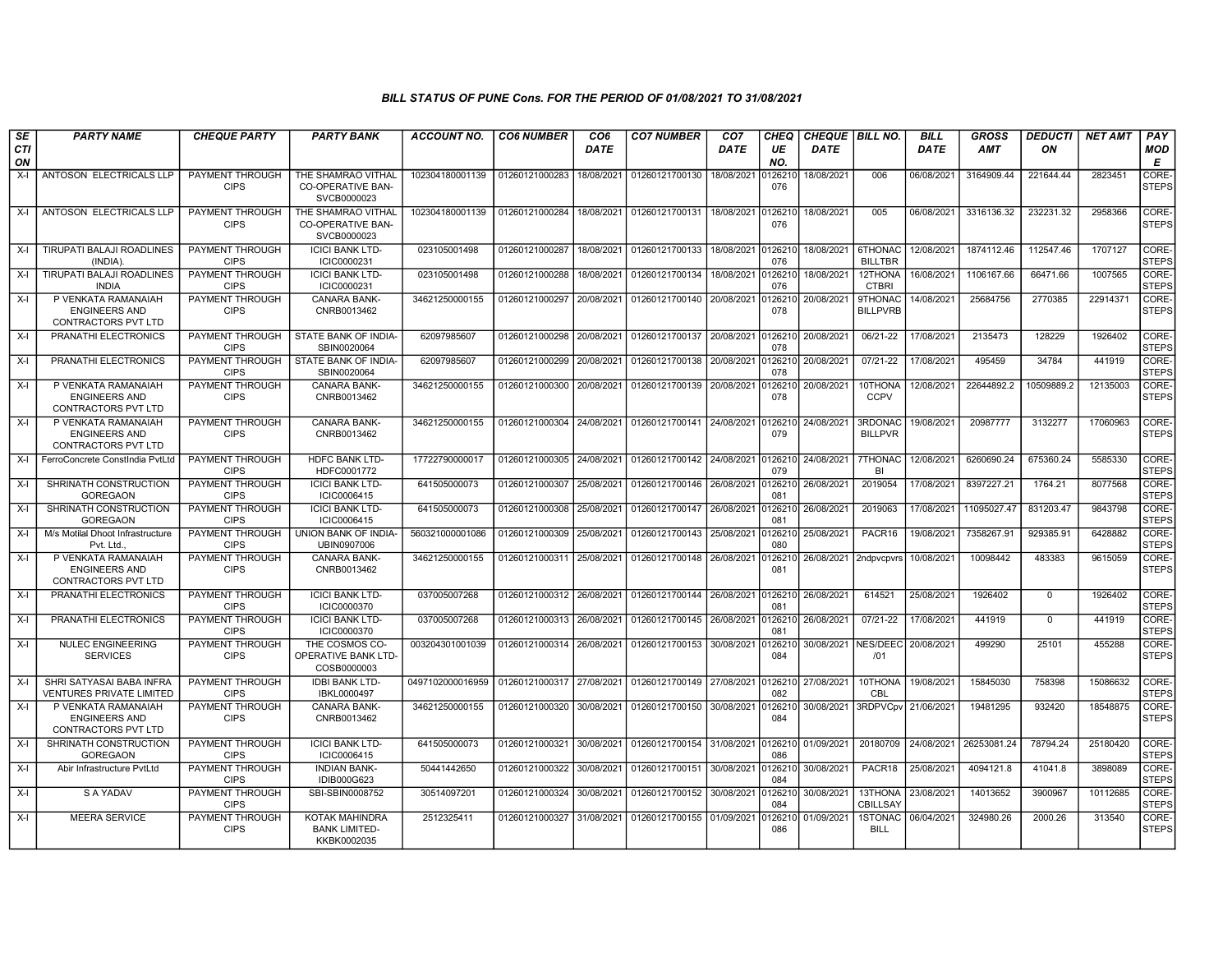| SE        | <b>PARTY NAME</b>                                                         | <b>CHEQUE PARTY</b>                   | <b>PARTY BANK</b>                                             | <b>ACCOUNT NO.</b> | <b>CO6 NUMBER</b>         | CO <sub>6</sub> | <b>CO7 NUMBER</b>                                                                          | CO <sub>7</sub> | CHEQ           | CHEQUE   BILL NO.   |                                   | <b>BILL</b> | <b>GROSS</b> | <b>DEDUCTI</b> | <b>NET AMT</b> | <b>PAY</b>            |
|-----------|---------------------------------------------------------------------------|---------------------------------------|---------------------------------------------------------------|--------------------|---------------------------|-----------------|--------------------------------------------------------------------------------------------|-----------------|----------------|---------------------|-----------------------------------|-------------|--------------|----------------|----------------|-----------------------|
| CTI<br>ON |                                                                           |                                       |                                                               |                    |                           | <b>DATE</b>     |                                                                                            | <b>DATE</b>     | UE<br>NO.      | <b>DATE</b>         |                                   | <b>DATE</b> | <b>AMT</b>   | ON             |                | MOD<br>E              |
| $X-I$     | ANTOSON ELECTRICALS LLP                                                   | PAYMENT THROUGH<br><b>CIPS</b>        | THE SHAMRAO VITHAL<br>CO-OPERATIVE BAN-<br>SVCB0000023        | 102304180001139    | 01260121000283            | 18/08/2021      | 01260121700130                                                                             | 18/08/2021      | 126210<br>076  | 18/08/2021          | 006                               | 06/08/2021  | 3164909.44   | 221644.44      | 2823451        | CORE-<br><b>STEPS</b> |
| $X-I$     | ANTOSON ELECTRICALS LLP                                                   | PAYMENT THROUGH<br><b>CIPS</b>        | THE SHAMRAO VITHAL<br><b>CO-OPERATIVE BAN-</b><br>SVCB0000023 | 102304180001139    | 01260121000284            | 18/08/2021      | 01260121700131                                                                             | 18/08/2021      | 0126210<br>076 | 18/08/2021          | 005                               | 06/08/2021  | 3316136.32   | 232231.32      | 2958366        | CORE-<br><b>STEPS</b> |
| X-I       | TIRUPATI BALAJI ROADLINES<br>(INDIA)                                      | PAYMENT THROUGH<br><b>CIPS</b>        | <b>ICICI BANK LTD-</b><br>ICIC0000231                         | 023105001498       | 01260121000287            | 18/08/2021      | 01260121700133                                                                             | 18/08/2021      | 0126210<br>076 | 18/08/2021          | 6THONAC<br><b>BILLTBR</b>         | 12/08/2021  | 1874112.46   | 112547.46      | 1707127        | CORE-<br><b>STEPS</b> |
| $X-I$     | <b>TIRUPATI BALAJI ROADLINES</b><br><b>INDIA</b>                          | <b>PAYMENT THROUGH</b><br><b>CIPS</b> | <b>ICICI BANK LTD-</b><br>ICIC0000231                         | 023105001498       | 01260121000288            | 18/08/2021      | 01260121700134                                                                             | 18/08/2021      | 0126210<br>076 | 18/08/2021          | 12THONA<br><b>CTBRI</b>           | 16/08/2021  | 1106167.66   | 66471.66       | 1007565        | CORE-<br><b>STEPS</b> |
| X-I       | P VENKATA RAMANAIAH<br><b>ENGINEERS AND</b><br><b>CONTRACTORS PVT LTD</b> | PAYMENT THROUGH<br><b>CIPS</b>        | <b>CANARA BANK-</b><br>CNRB0013462                            | 34621250000155     |                           |                 | 01260121000297 20/08/2021 01260121700140                                                   | 20/08/2021      | 0126210<br>078 | 20/08/2021          | <b>STHONAC</b><br><b>BILLPVRB</b> | 14/08/2021  | 25684756     | 2770385        | 22914371       | CORE-<br><b>STEPS</b> |
| $X-I$     | PRANATHI ELECTRONICS                                                      | PAYMENT THROUGH<br><b>CIPS</b>        | STATE BANK OF INDIA-<br>SBIN0020064                           | 62097985607        | 01260121000298            | 20/08/2021      | 01260121700137                                                                             | 20/08/2021      | 0126210<br>078 | 20/08/2021          | 06/21-22                          | 17/08/2021  | 2135473      | 128229         | 1926402        | CORE-<br><b>STEPS</b> |
| $X-I$     | PRANATHI ELECTRONICS                                                      | PAYMENT THROUGH<br><b>CIPS</b>        | STATE BANK OF INDIA-<br>SBIN0020064                           | 62097985607        | 01260121000299            | 20/08/2021      | 01260121700138                                                                             | 20/08/2021      | 0126210<br>078 | 20/08/2021          | 07/21-22                          | 17/08/2021  | 495459       | 34784          | 441919         | CORE-<br><b>STEPS</b> |
| $X-I$     | P VENKATA RAMANAIAH<br><b>ENGINEERS AND</b><br>CONTRACTORS PVT LTD        | PAYMENT THROUGH<br><b>CIPS</b>        | <b>CANARA BANK-</b><br>CNRB0013462                            | 34621250000155     | 01260121000300            | 20/08/2021      | 01260121700139                                                                             | 20/08/2021      | 126210<br>078  | 20/08/2021          | 10THONA<br><b>CCPV</b>            | 12/08/2021  | 22644892.2   | 10509889.2     | 12135003       | CORE-<br><b>STEPS</b> |
| X-I       | P VENKATA RAMANAIAH<br><b>ENGINEERS AND</b><br><b>CONTRACTORS PVT LTD</b> | PAYMENT THROUGH<br><b>CIPS</b>        | CANARA BANK-<br>CNRB0013462                                   | 34621250000155     | 01260121000304            | 24/08/2021      | 01260121700141 24/08/2021                                                                  |                 | 126210<br>079  | 24/08/2021          | 3RDONAC<br><b>BILLPVR</b>         | 19/08/2021  | 20987777     | 3132277        | 17060963       | CORE-<br><b>STEPS</b> |
| $X-I$     | FerroConcrete ConstIndia PvtLtd                                           | PAYMENT THROUGH<br><b>CIPS</b>        | <b>HDFC BANK LTD-</b><br>HDFC0001772                          | 17722790000017     | 01260121000305            | 24/08/2021      | 01260121700142 24/08/2021                                                                  |                 | 0126210<br>079 | 24/08/2021          | 7THONAC<br>BI                     | 12/08/2021  | 6260690.24   | 675360.24      | 5585330        | CORE-<br><b>STEPS</b> |
| $X-I$     | SHRINATH CONSTRUCTION<br><b>GOREGAON</b>                                  | PAYMENT THROUGH<br><b>CIPS</b>        | <b>ICICI BANK LTD-</b><br>ICIC0006415                         | 641505000073       | 01260121000307            | 25/08/2021      | 01260121700146                                                                             | 26/08/2021      | 0126210<br>081 | 26/08/2021          | 2019054                           | 17/08/2021  | 8397227.21   | 1764.21        | 8077568        | CORE-<br><b>STEPS</b> |
| $X-I$     | SHRINATH CONSTRUCTION<br><b>GOREGAON</b>                                  | PAYMENT THROUGH<br><b>CIPS</b>        | <b>ICICI BANK LTD-</b><br>ICIC0006415                         | 641505000073       | 01260121000308            | 25/08/2021      | 01260121700147                                                                             | 26/08/2021      | 0126210<br>081 | 26/08/2021          | 2019063                           | 17/08/2021  | 11095027.47  | 831203.47      | 9843798        | CORE-<br><b>STEPS</b> |
| $X-I$     | M/s Motilal Dhoot Infrastructure<br>Pvt. Ltd.                             | PAYMENT THROUGH<br><b>CIPS</b>        | UNION BANK OF INDIA-<br>UBIN0907006                           | 560321000001086    | 01260121000309            | 25/08/2021      | 01260121700143                                                                             | 25/08/2021      | 0126210<br>080 | 25/08/2021          | PACR16                            | 19/08/2021  | 7358267.91   | 929385.91      | 6428882        | CORE-<br><b>STEPS</b> |
| $X-I$     | P VENKATA RAMANAIAH<br><b>ENGINEERS AND</b><br>CONTRACTORS PVT LTD        | PAYMENT THROUGH<br><b>CIPS</b>        | <b>CANARA BANK-</b><br>CNRB0013462                            | 34621250000155     | 01260121000311            | 25/08/2021      | 01260121700148                                                                             | 26/08/2021      | 0126210<br>081 | 26/08/2021          | 2ndpvcpvrs                        | 10/08/2021  | 10098442     | 483383         | 9615059        | CORE-<br><b>STEPS</b> |
| $X-I$     | PRANATHI ELECTRONICS                                                      | PAYMENT THROUGH<br><b>CIPS</b>        | <b>ICICI BANK LTD-</b><br>ICIC0000370                         | 037005007268       | 01260121000312            | 26/08/2021      | 01260121700144                                                                             | 26/08/2021      | 0126210<br>081 | 26/08/2021          | 614521                            | 25/08/2021  | 1926402      | $\Omega$       | 1926402        | CORE-<br><b>STEPS</b> |
| $X-I$     | PRANATHI ELECTRONICS                                                      | <b>PAYMENT THROUGH</b><br><b>CIPS</b> | <b>ICICI BANK LTD-</b><br>ICIC0000370                         | 037005007268       | 01260121000313            | 26/08/2021      | 01260121700145                                                                             | 26/08/2021      | 0126210<br>081 | 26/08/2021          | $07/21 - 22$                      | 17/08/2021  | 441919       | $\mathbf{0}$   | 441919         | CORE-<br><b>STEPS</b> |
| $X-I$     | <b>NULEC ENGINEERING</b><br><b>SERVICES</b>                               | PAYMENT THROUGH<br><b>CIPS</b>        | THE COSMOS CO-<br>OPERATIVE BANK LTD-<br>COSB0000003          | 003204301001039    | 01260121000314 26/08/2021 |                 | 01260121700153                                                                             | 30/08/2021      | 0126210<br>084 | 30/08/2021 NES/DEEC | /01                               | 20/08/2021  | 499290       | 25101          | 455288         | CORE-<br><b>STEPS</b> |
| $X-I$     | SHRI SATYASAI BABA INFRA<br><b>VENTURES PRIVATE LIMITED</b>               | <b>PAYMENT THROUGH</b><br><b>CIPS</b> | <b>IDBI BANK LTD-</b><br>IBKL0000497                          | 0497102000016959   | 01260121000317 27/08/2021 |                 | 01260121700149 27/08/2021                                                                  |                 | 0126210<br>082 | 27/08/2021          | 10THONA<br>CBL                    | 19/08/2021  | 15845030     | 758398         | 15086632       | CORE-<br><b>STEPS</b> |
| $X-I$     | P VENKATA RAMANAIAH<br><b>ENGINEERS AND</b><br><b>CONTRACTORS PVT LTD</b> | PAYMENT THROUGH<br><b>CIPS</b>        | CANARA BANK-<br>CNRB0013462                                   | 34621250000155     | 01260121000320            |                 | 30/08/2021 01260121700150                                                                  | 30/08/2021      | 0126210<br>084 | 30/08/2021          | 3RDPVCpv 21/06/2021               |             | 19481295     | 932420         | 18548875       | CORE-<br><b>STEPS</b> |
| $X-I$     | SHRINATH CONSTRUCTION<br><b>GOREGAON</b>                                  | PAYMENT THROUGH<br><b>CIPS</b>        | <b>ICICI BANK LTD-</b><br>ICIC0006415                         | 641505000073       |                           |                 | 01260121000321 30/08/2021 01260121700154 31/08/2021 0126210 01/09/2021 20180709 24/08/2021 |                 | 086            |                     |                                   |             | 26253081.24  | 78794.24       | 25180420       | CORE-<br><b>STEPS</b> |
| $X-I$     | Abir Infrastructure PvtLtd                                                | PAYMENT THROUGH<br><b>CIPS</b>        | <b>INDIAN BANK-</b><br>IDIB000G623                            | 50441442650        | 01260121000322            | 30/08/2021      | 01260121700151                                                                             | 30/08/2021      | 0126210<br>084 | 30/08/2021          | PACR18                            | 25/08/2021  | 4094121.8    | 41041.8        | 3898089        | CORE-<br><b>STEPS</b> |
| X-I       | S A YADAV                                                                 | PAYMENT THROUGH<br><b>CIPS</b>        | SBI-SBIN0008752                                               | 30514097201        | 01260121000324            | 30/08/2021      | 01260121700152                                                                             | 30/08/2021      | 0126210<br>084 | 30/08/2021          | 13THONA<br>CBILLSAY               | 23/08/2021  | 14013652     | 3900967        | 10112685       | CORE-<br><b>STEPS</b> |
| $X-I$     | <b>MEERA SERVICE</b>                                                      | PAYMENT THROUGH<br><b>CIPS</b>        | KOTAK MAHINDRA<br><b>BANK LIMITED-</b><br>KKBK0002035         | 2512325411         | 01260121000327            | 31/08/2021      | 01260121700155                                                                             | 01/09/2021      | 126210<br>086  | 01/09/2021          | 1STONAC<br><b>BILL</b>            | 06/04/2021  | 324980.26    | 2000.26        | 313540         | CORE-<br><b>STEPS</b> |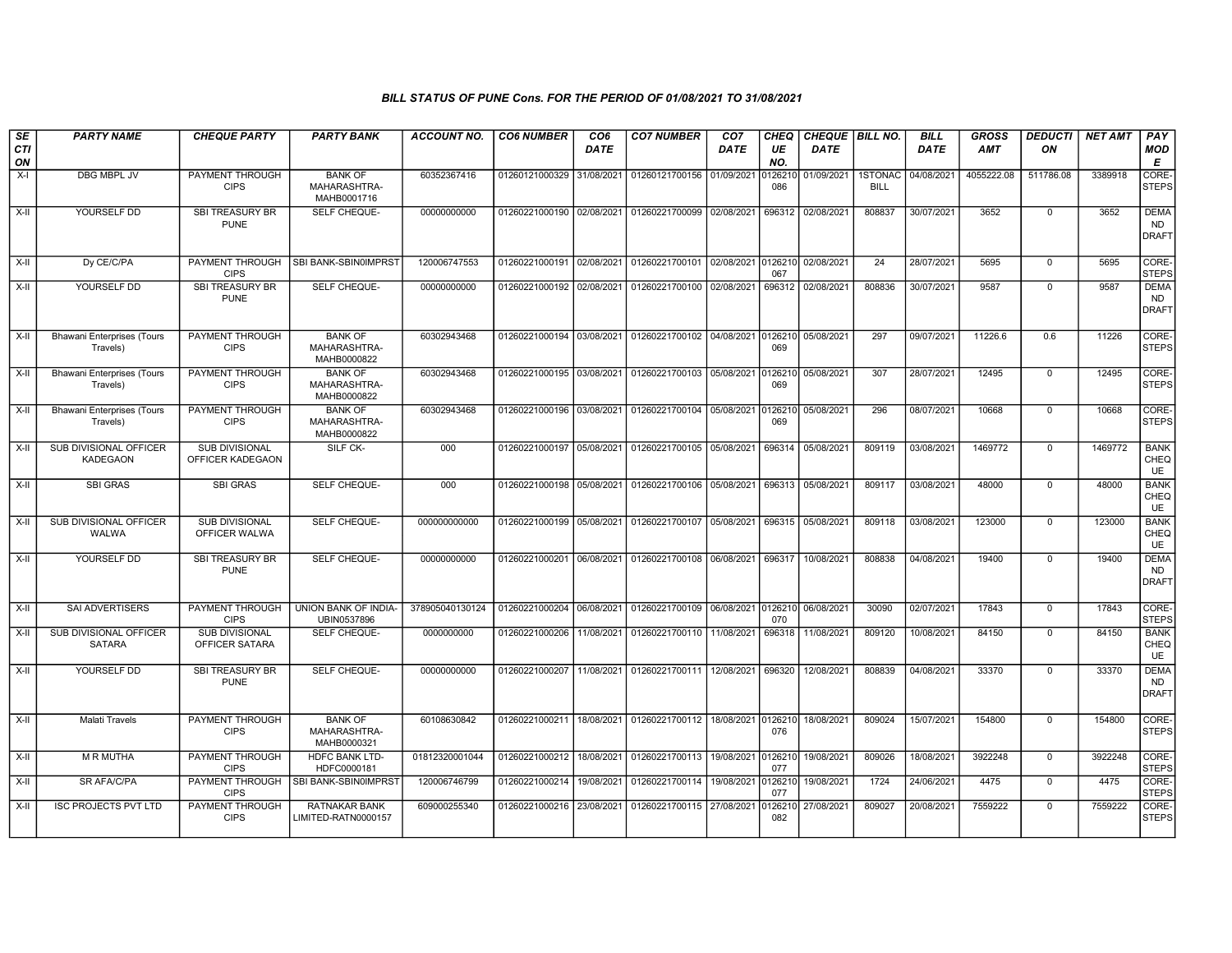| SE        | <b>PARTY NAME</b>                             | <b>CHEQUE PARTY</b>                       | <b>PARTY BANK</b>                             | <b>ACCOUNT NO.</b> | <b>CO6 NUMBER</b>         | CO <sub>6</sub> | <b>CO7 NUMBER</b>                                           | CO <sub>7</sub> | <b>CHEQ</b>    | CHEQUE   BILL NO. |                        | <b>BILL</b> | <b>GROSS</b> | <b>DEDUCTI</b> | <b>NET AMT</b> | <b>PAY</b>                               |
|-----------|-----------------------------------------------|-------------------------------------------|-----------------------------------------------|--------------------|---------------------------|-----------------|-------------------------------------------------------------|-----------------|----------------|-------------------|------------------------|-------------|--------------|----------------|----------------|------------------------------------------|
| CTI<br>ON |                                               |                                           |                                               |                    |                           | <b>DATE</b>     |                                                             | DATE            | UE<br>NO.      | <b>DATE</b>       |                        | <b>DATE</b> | <b>AMT</b>   | ON             |                | MOD<br>Е                                 |
| $X-I$     | DBG MBPL JV                                   | PAYMENT THROUGH<br><b>CIPS</b>            | <b>BANK OF</b><br>MAHARASHTRA-<br>MAHB0001716 | 60352367416        | 01260121000329            | 31/08/2021      | 01260121700156                                              | 01/09/2021      | 126210<br>086  | 01/09/2021        | 1STONAC<br><b>BILL</b> | 04/08/2021  | 4055222.08   | 511786.08      | 3389918        | CORE-<br><b>STEPS</b>                    |
| X-II      | YOURSELF DD                                   | SBI TREASURY BR<br><b>PUNE</b>            | SELF CHEQUE-                                  | 00000000000        | 01260221000190 02/08/2021 |                 | 01260221700099                                              | 02/08/2021      | 696312         | 02/08/2021        | 808837                 | 30/07/2021  | 3652         | $\mathbf 0$    | 3652           | <b>DEMA</b><br><b>ND</b><br><b>DRAFT</b> |
| $X-II$    | Dy CE/C/PA                                    | PAYMENT THROUGH<br><b>CIPS</b>            | SBI BANK-SBIN0IMPRST                          | 120006747553       | 01260221000191 02/08/2021 |                 | 01260221700101 02/08/2021                                   |                 | 0126210<br>067 | 02/08/2021        | 24                     | 28/07/2021  | 5695         | $\mathbf{0}$   | 5695           | CORE-<br><b>STEPS</b>                    |
| $X-H$     | YOURSELF DD                                   | <b>SBI TREASURY BR</b><br><b>PUNE</b>     | SELF CHEQUE-                                  | 00000000000        | 01260221000192 02/08/2021 |                 | 01260221700100                                              | 02/08/2021      | 696312         | 02/08/2021        | 808836                 | 30/07/2021  | 9587         | $\mathbf 0$    | 9587           | <b>DEMA</b><br><b>ND</b><br><b>DRAFT</b> |
| $X-II$    | <b>Bhawani Enterprises (Tours</b><br>Travels) | PAYMENT THROUGH<br><b>CIPS</b>            | <b>BANK OF</b><br>MAHARASHTRA-<br>MAHB0000822 | 60302943468        |                           |                 | 01260221000194 03/08/2021 01260221700102 04/08/2021         |                 | 0126210<br>069 | 05/08/2021        | 297                    | 09/07/2021  | 11226.6      | 0.6            | 11226          | CORE-<br><b>STEPS</b>                    |
| X-II      | <b>Bhawani Enterprises (Tours</b><br>Travels) | PAYMENT THROUGH<br><b>CIPS</b>            | <b>BANK OF</b><br>MAHARASHTRA-<br>MAHB0000822 | 60302943468        |                           |                 | 01260221000195 03/08/2021 01260221700103 05/08/2021         |                 | 0126210<br>069 | 05/08/2021        | 307                    | 28/07/2021  | 12495        | $\overline{0}$ | 12495          | CORE-<br><b>STEPS</b>                    |
| X-II      | <b>Bhawani Enterprises (Tours</b><br>Travels) | <b>PAYMENT THROUGH</b><br><b>CIPS</b>     | <b>BANK OF</b><br>MAHARASHTRA-<br>MAHB0000822 | 60302943468        |                           |                 | 01260221000196 03/08/2021 01260221700104 05/08/2021 0126210 |                 | 069            | 05/08/2021        | 296                    | 08/07/2021  | 10668        | $\mathbf{0}$   | 10668          | CORE-<br><b>STEPS</b>                    |
| $X-H$     | SUB DIVISIONAL OFFICER<br><b>KADEGAON</b>     | <b>SUB DIVISIONAL</b><br>OFFICER KADEGAON | SILF CK-                                      | 000                | 01260221000197 05/08/2021 |                 | 01260221700105 05/08/2021                                   |                 | 696314         | 05/08/2021        | 809119                 | 03/08/2021  | 1469772      | $\mathbf 0$    | 1469772        | <b>BANK</b><br>CHEQ<br>UE                |
| X-II      | <b>SBI GRAS</b>                               | <b>SBI GRAS</b>                           | SELF CHEQUE-                                  | 000                | 01260221000198 05/08/2021 |                 | 01260221700106 05/08/2021                                   |                 | 696313         | 05/08/2021        | 809117                 | 03/08/2021  | 48000        | $\mathbf 0$    | 48000          | <b>BANK</b><br>CHEQ<br>UE                |
| $X-H$     | <b>SUB DIVISIONAL OFFICER</b><br>WALWA        | <b>SUB DIVISIONAL</b><br>OFFICER WALWA    | <b>SELF CHEQUE-</b>                           | 000000000000       |                           |                 | 01260221000199 05/08/2021 01260221700107 05/08/2021 696315  |                 |                | 05/08/2021        | 809118                 | 03/08/2021  | 123000       | $\mathbf 0$    | 123000         | <b>BANK</b><br>CHEQ<br>UE                |
| $X-II$    | YOURSELF DD                                   | SBI TREASURY BR<br><b>PUNE</b>            | SELF CHEQUE-                                  | 00000000000        | 01260221000201            | 06/08/2021      | 01260221700108                                              | 06/08/2021      | 696317         | 10/08/2021        | 808838                 | 04/08/2021  | 19400        | $\Omega$       | 19400          | <b>DEMA</b><br><b>ND</b><br><b>DRAFT</b> |
| $X-II$    | <b>SAI ADVERTISERS</b>                        | PAYMENT THROUGH<br><b>CIPS</b>            | UNION BANK OF INDIA-<br>UBIN0537896           | 378905040130124    | 01260221000204            | 06/08/2021      | 01260221700109                                              | 06/08/2021      | 0126210<br>070 | 06/08/2021        | 30090                  | 02/07/2021  | 17843        | $\mathbf 0$    | 17843          | CORE-<br><b>STEPS</b>                    |
| $X-II$    | SUB DIVISIONAL OFFICER<br><b>SATARA</b>       | <b>SUB DIVISIONAL</b><br>OFFICER SATARA   | SELF CHEQUE-                                  | 0000000000         | 01260221000206            | 11/08/2021      | 01260221700110                                              | 11/08/2021      | 696318         | 11/08/2021        | 809120                 | 10/08/2021  | 84150        | $\Omega$       | 84150          | <b>BANK</b><br>CHEQ<br><b>UE</b>         |
| X-II      | YOURSELF DD                                   | SBI TREASURY BR<br><b>PUNE</b>            | SELF CHEQUE-                                  | 00000000000        | 01260221000207            | 11/08/2021      | 01260221700111                                              | 12/08/2021      | 696320         | 12/08/2021        | 808839                 | 04/08/2021  | 33370        | $\mathbf 0$    | 33370          | <b>DEMA</b><br><b>ND</b><br><b>DRAFT</b> |
| $X-H$     | Malati Travels                                | PAYMENT THROUGH<br><b>CIPS</b>            | <b>BANK OF</b><br>MAHARASHTRA-<br>MAHB0000321 | 60108630842        | 01260221000211            |                 | 18/08/2021 01260221700112                                   | 18/08/2021      | 0126210<br>076 | 18/08/2021        | 809024                 | 15/07/2021  | 154800       | $\mathbf 0$    | 154800         | CORE-<br><b>STEPS</b>                    |
| X-II      | <b>M R MUTHA</b>                              | PAYMENT THROUGH<br><b>CIPS</b>            | <b>HDFC BANK LTD-</b><br>HDFC0000181          | 01812320001044     | 01260221000212            | 18/08/2021      | 01260221700113                                              | 19/08/2021      | 012621<br>077  | 19/08/2021        | 809026                 | 18/08/2021  | 3922248      | $\Omega$       | 3922248        | CORE-<br><b>STEPS</b>                    |
| X-II      | <b>SR AFA/C/PA</b>                            | PAYMENT THROUGH<br><b>CIPS</b>            | <b>SBI BANK-SBIN0IMPRST</b>                   | 120006746799       | 01260221000214            | 19/08/2021      | 01260221700114                                              | 19/08/2021      | 0126210<br>077 | 19/08/2021        | 1724                   | 24/06/2021  | 4475         | $\mathbf{0}$   | 4475           | CORE-<br><b>STEPS</b>                    |
| $X-II$    | <b>ISC PROJECTS PVT LTD</b>                   | PAYMENT THROUGH<br><b>CIPS</b>            | RATNAKAR BANK<br>LIMITED-RATN0000157          | 609000255340       | 01260221000216            | 23/08/2021      | 01260221700115                                              | 27/08/2021      | 126210<br>082  | 27/08/2021        | 809027                 | 20/08/2021  | 7559222      | $\mathbf 0$    | 7559222        | CORE-<br><b>STEPS</b>                    |